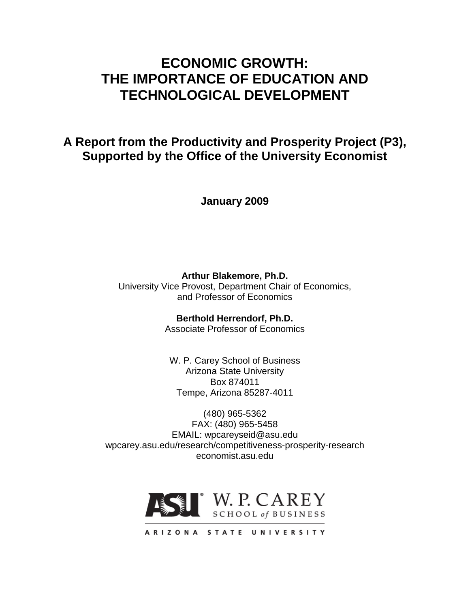# **ECONOMIC GROWTH: THE IMPORTANCE OF EDUCATION AND TECHNOLOGICAL DEVELOPMENT**

# **A Report from the Productivity and Prosperity Project (P3), Supported by the Office of the University Economist**

**January 2009**

**Arthur Blakemore, Ph.D.** University Vice Provost, Department Chair of Economics, and Professor of Economics

> **Berthold Herrendorf, Ph.D.** Associate Professor of Economics

W. P. Carey School of Business Arizona State University Box 874011 Tempe, Arizona 85287-4011

(480) 965-5362 FAX: (480) 965-5458 EMAIL: wpcareyseid@asu.edu wpcarey.asu.edu/research/competitiveness-prosperity-research economist.asu.edu

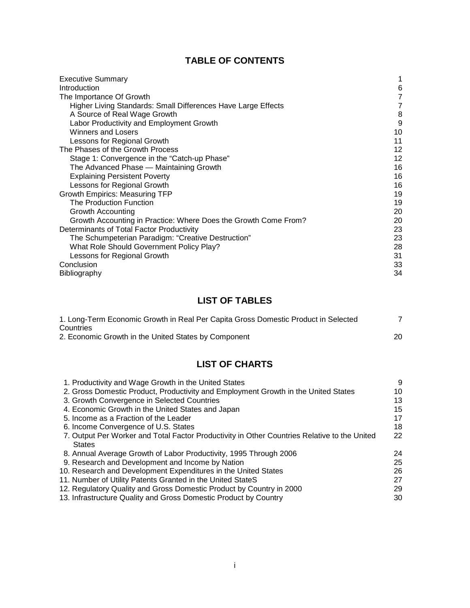## **TABLE OF CONTENTS**

| <b>Executive Summary</b>                                        |    |
|-----------------------------------------------------------------|----|
| Introduction                                                    | 6  |
| The Importance Of Growth                                        | 7  |
| Higher Living Standards: Small Differences Have Large Effects   | 7  |
| A Source of Real Wage Growth                                    | 8  |
| Labor Productivity and Employment Growth                        | 9  |
| Winners and Losers                                              | 10 |
| Lessons for Regional Growth                                     | 11 |
| The Phases of the Growth Process                                | 12 |
| Stage 1: Convergence in the "Catch-up Phase"                    | 12 |
| The Advanced Phase - Maintaining Growth                         | 16 |
| <b>Explaining Persistent Poverty</b>                            | 16 |
| Lessons for Regional Growth                                     | 16 |
| <b>Growth Empirics: Measuring TFP</b>                           | 19 |
| The Production Function                                         | 19 |
| Growth Accounting                                               | 20 |
| Growth Accounting in Practice: Where Does the Growth Come From? | 20 |
| Determinants of Total Factor Productivity                       | 23 |
| The Schumpeterian Paradigm: "Creative Destruction"              | 23 |
| What Role Should Government Policy Play?                        | 28 |
| Lessons for Regional Growth                                     | 31 |
| Conclusion                                                      | 33 |
| Bibliography                                                    | 34 |

## **LIST OF TABLES**

| 1. Long-Term Economic Growth in Real Per Capita Gross Domestic Product in Selected |  |
|------------------------------------------------------------------------------------|--|
| Countries                                                                          |  |
| 2. Economic Growth in the United States by Component                               |  |

## **LIST OF CHARTS**

| 1. Productivity and Wage Growth in the United States                                         | 9  |
|----------------------------------------------------------------------------------------------|----|
| 2. Gross Domestic Product, Productivity and Employment Growth in the United States           | 10 |
| 3. Growth Convergence in Selected Countries                                                  | 13 |
| 4. Economic Growth in the United States and Japan                                            | 15 |
| 5. Income as a Fraction of the Leader                                                        | 17 |
| 6. Income Convergence of U.S. States                                                         | 18 |
| 7. Output Per Worker and Total Factor Productivity in Other Countries Relative to the United | 22 |
| <b>States</b>                                                                                |    |
| 8. Annual Average Growth of Labor Productivity, 1995 Through 2006                            | 24 |
| 9. Research and Development and Income by Nation                                             | 25 |
| 10. Research and Development Expenditures in the United States                               | 26 |
| 11. Number of Utility Patents Granted in the United StateS                                   | 27 |
| 12. Regulatory Quality and Gross Domestic Product by Country in 2000                         | 29 |
| 13. Infrastructure Quality and Gross Domestic Product by Country                             | 30 |
|                                                                                              |    |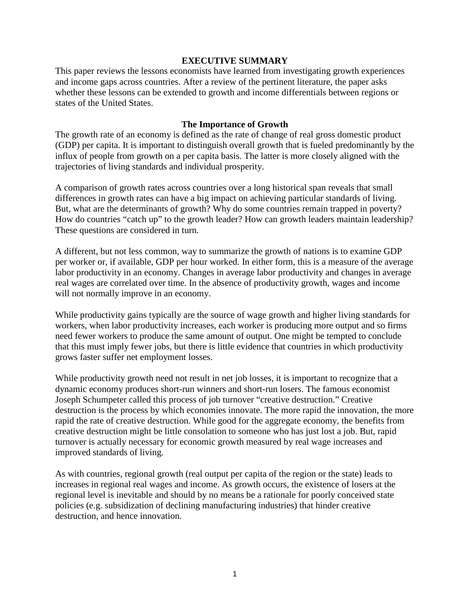### **EXECUTIVE SUMMARY**

This paper reviews the lessons economists have learned from investigating growth experiences and income gaps across countries. After a review of the pertinent literature, the paper asks whether these lessons can be extended to growth and income differentials between regions or states of the United States.

#### **The Importance of Growth**

The growth rate of an economy is defined as the rate of change of real gross domestic product (GDP) per capita. It is important to distinguish overall growth that is fueled predominantly by the influx of people from growth on a per capita basis. The latter is more closely aligned with the trajectories of living standards and individual prosperity.

A comparison of growth rates across countries over a long historical span reveals that small differences in growth rates can have a big impact on achieving particular standards of living. But, what are the determinants of growth? Why do some countries remain trapped in poverty? How do countries "catch up" to the growth leader? How can growth leaders maintain leadership? These questions are considered in turn.

A different, but not less common, way to summarize the growth of nations is to examine GDP per worker or, if available, GDP per hour worked. In either form, this is a measure of the average labor productivity in an economy. Changes in average labor productivity and changes in average real wages are correlated over time. In the absence of productivity growth, wages and income will not normally improve in an economy.

While productivity gains typically are the source of wage growth and higher living standards for workers, when labor productivity increases, each worker is producing more output and so firms need fewer workers to produce the same amount of output. One might be tempted to conclude that this must imply fewer jobs, but there is little evidence that countries in which productivity grows faster suffer net employment losses.

While productivity growth need not result in net job losses, it is important to recognize that a dynamic economy produces short-run winners and short-run losers. The famous economist Joseph Schumpeter called this process of job turnover "creative destruction." Creative destruction is the process by which economies innovate. The more rapid the innovation, the more rapid the rate of creative destruction. While good for the aggregate economy, the benefits from creative destruction might be little consolation to someone who has just lost a job. But, rapid turnover is actually necessary for economic growth measured by real wage increases and improved standards of living.

As with countries, regional growth (real output per capita of the region or the state) leads to increases in regional real wages and income. As growth occurs, the existence of losers at the regional level is inevitable and should by no means be a rationale for poorly conceived state policies (e.g. subsidization of declining manufacturing industries) that hinder creative destruction, and hence innovation.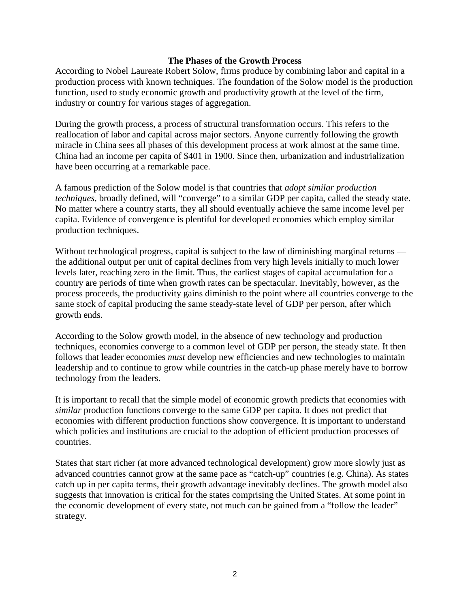### **The Phases of the Growth Process**

According to Nobel Laureate Robert Solow, firms produce by combining labor and capital in a production process with known techniques. The foundation of the Solow model is the production function, used to study economic growth and productivity growth at the level of the firm, industry or country for various stages of aggregation.

During the growth process, a process of structural transformation occurs. This refers to the reallocation of labor and capital across major sectors. Anyone currently following the growth miracle in China sees all phases of this development process at work almost at the same time. China had an income per capita of \$401 in 1900. Since then, urbanization and industrialization have been occurring at a remarkable pace.

A famous prediction of the Solow model is that countries that *adopt similar production techniques*, broadly defined, will "converge" to a similar GDP per capita, called the steady state. No matter where a country starts, they all should eventually achieve the same income level per capita. Evidence of convergence is plentiful for developed economies which employ similar production techniques.

Without technological progress, capital is subject to the law of diminishing marginal returns the additional output per unit of capital declines from very high levels initially to much lower levels later, reaching zero in the limit. Thus, the earliest stages of capital accumulation for a country are periods of time when growth rates can be spectacular. Inevitably, however, as the process proceeds, the productivity gains diminish to the point where all countries converge to the same stock of capital producing the same steady-state level of GDP per person, after which growth ends.

According to the Solow growth model, in the absence of new technology and production techniques, economies converge to a common level of GDP per person, the steady state. It then follows that leader economies *must* develop new efficiencies and new technologies to maintain leadership and to continue to grow while countries in the catch-up phase merely have to borrow technology from the leaders.

It is important to recall that the simple model of economic growth predicts that economies with *similar* production functions converge to the same GDP per capita. It does not predict that economies with different production functions show convergence. It is important to understand which policies and institutions are crucial to the adoption of efficient production processes of countries.

States that start richer (at more advanced technological development) grow more slowly just as advanced countries cannot grow at the same pace as "catch-up" countries (e.g. China). As states catch up in per capita terms, their growth advantage inevitably declines. The growth model also suggests that innovation is critical for the states comprising the United States. At some point in the economic development of every state, not much can be gained from a "follow the leader" strategy.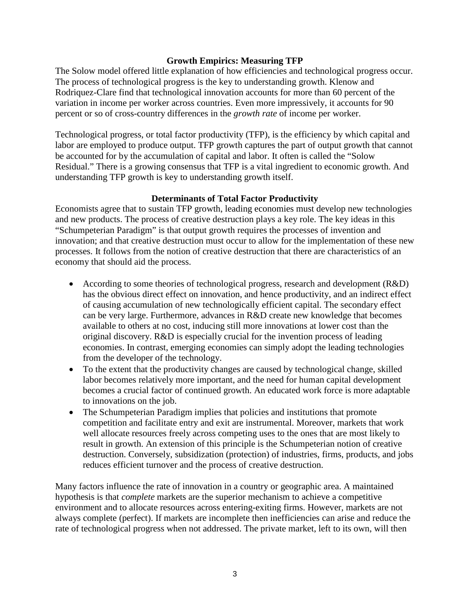## **Growth Empirics: Measuring TFP**

The Solow model offered little explanation of how efficiencies and technological progress occur. The process of technological progress is the key to understanding growth. Klenow and Rodriquez-Clare find that technological innovation accounts for more than 60 percent of the variation in income per worker across countries. Even more impressively, it accounts for 90 percent or so of cross-country differences in the *growth rate* of income per worker.

Technological progress, or total factor productivity (TFP), is the efficiency by which capital and labor are employed to produce output. TFP growth captures the part of output growth that cannot be accounted for by the accumulation of capital and labor. It often is called the "Solow Residual." There is a growing consensus that TFP is a vital ingredient to economic growth. And understanding TFP growth is key to understanding growth itself.

## **Determinants of Total Factor Productivity**

Economists agree that to sustain TFP growth, leading economies must develop new technologies and new products. The process of creative destruction plays a key role. The key ideas in this "Schumpeterian Paradigm" is that output growth requires the processes of invention and innovation; and that creative destruction must occur to allow for the implementation of these new processes. It follows from the notion of creative destruction that there are characteristics of an economy that should aid the process.

- According to some theories of technological progress, research and development (R&D) has the obvious direct effect on innovation, and hence productivity, and an indirect effect of causing accumulation of new technologically efficient capital. The secondary effect can be very large. Furthermore, advances in R&D create new knowledge that becomes available to others at no cost, inducing still more innovations at lower cost than the original discovery. R&D is especially crucial for the invention process of leading economies. In contrast, emerging economies can simply adopt the leading technologies from the developer of the technology.
- To the extent that the productivity changes are caused by technological change, skilled labor becomes relatively more important, and the need for human capital development becomes a crucial factor of continued growth. An educated work force is more adaptable to innovations on the job.
- The Schumpeterian Paradigm implies that policies and institutions that promote competition and facilitate entry and exit are instrumental. Moreover, markets that work well allocate resources freely across competing uses to the ones that are most likely to result in growth. An extension of this principle is the Schumpeterian notion of creative destruction. Conversely, subsidization (protection) of industries, firms, products, and jobs reduces efficient turnover and the process of creative destruction.

Many factors influence the rate of innovation in a country or geographic area. A maintained hypothesis is that *complete* markets are the superior mechanism to achieve a competitive environment and to allocate resources across entering-exiting firms. However, markets are not always complete (perfect). If markets are incomplete then inefficiencies can arise and reduce the rate of technological progress when not addressed. The private market, left to its own, will then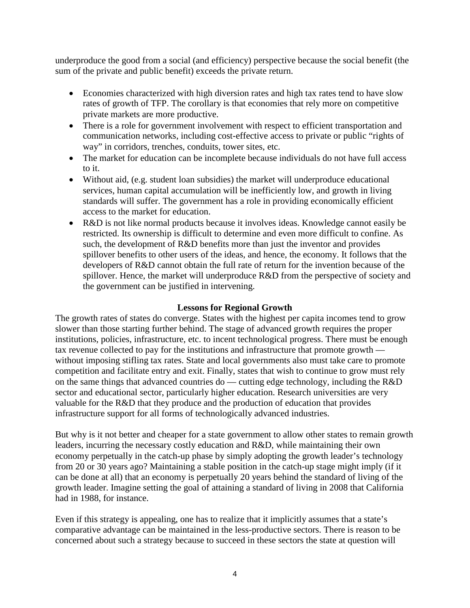underproduce the good from a social (and efficiency) perspective because the social benefit (the sum of the private and public benefit) exceeds the private return.

- Economies characterized with high diversion rates and high tax rates tend to have slow rates of growth of TFP. The corollary is that economies that rely more on competitive private markets are more productive.
- There is a role for government involvement with respect to efficient transportation and communication networks, including cost-effective access to private or public "rights of way" in corridors, trenches, conduits, tower sites, etc.
- The market for education can be incomplete because individuals do not have full access to it.
- Without aid, (e.g. student loan subsidies) the market will underproduce educational services, human capital accumulation will be inefficiently low, and growth in living standards will suffer. The government has a role in providing economically efficient access to the market for education.
- R&D is not like normal products because it involves ideas. Knowledge cannot easily be restricted. Its ownership is difficult to determine and even more difficult to confine. As such, the development of R&D benefits more than just the inventor and provides spillover benefits to other users of the ideas, and hence, the economy. It follows that the developers of R&D cannot obtain the full rate of return for the invention because of the spillover. Hence, the market will underproduce R&D from the perspective of society and the government can be justified in intervening.

## **Lessons for Regional Growth**

The growth rates of states do converge. States with the highest per capita incomes tend to grow slower than those starting further behind. The stage of advanced growth requires the proper institutions, policies, infrastructure, etc. to incent technological progress. There must be enough tax revenue collected to pay for the institutions and infrastructure that promote growth without imposing stifling tax rates. State and local governments also must take care to promote competition and facilitate entry and exit. Finally, states that wish to continue to grow must rely on the same things that advanced countries do — cutting edge technology, including the R&D sector and educational sector, particularly higher education. Research universities are very valuable for the R&D that they produce and the production of education that provides infrastructure support for all forms of technologically advanced industries.

But why is it not better and cheaper for a state government to allow other states to remain growth leaders, incurring the necessary costly education and R&D, while maintaining their own economy perpetually in the catch-up phase by simply adopting the growth leader's technology from 20 or 30 years ago? Maintaining a stable position in the catch-up stage might imply (if it can be done at all) that an economy is perpetually 20 years behind the standard of living of the growth leader. Imagine setting the goal of attaining a standard of living in 2008 that California had in 1988, for instance.

Even if this strategy is appealing, one has to realize that it implicitly assumes that a state's comparative advantage can be maintained in the less-productive sectors. There is reason to be concerned about such a strategy because to succeed in these sectors the state at question will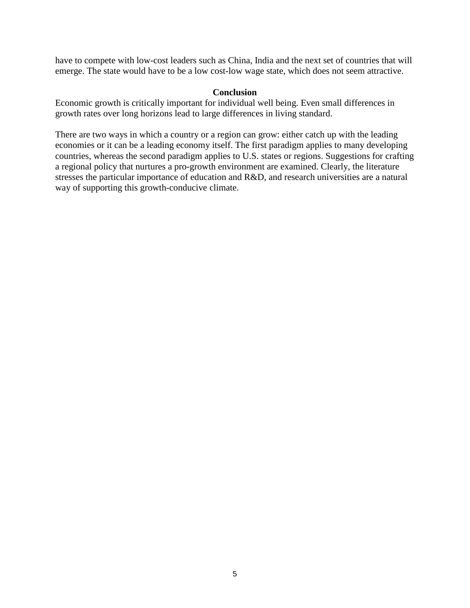have to compete with low-cost leaders such as China, India and the next set of countries that will emerge. The state would have to be a low cost-low wage state, which does not seem attractive.

### **Conclusion**

Economic growth is critically important for individual well being. Even small differences in growth rates over long horizons lead to large differences in living standard.

There are two ways in which a country or a region can grow: either catch up with the leading economies or it can be a leading economy itself. The first paradigm applies to many developing countries, whereas the second paradigm applies to U.S. states or regions. Suggestions for crafting a regional policy that nurtures a pro-growth environment are examined. Clearly, the literature stresses the particular importance of education and R&D, and research universities are a natural way of supporting this growth-conducive climate.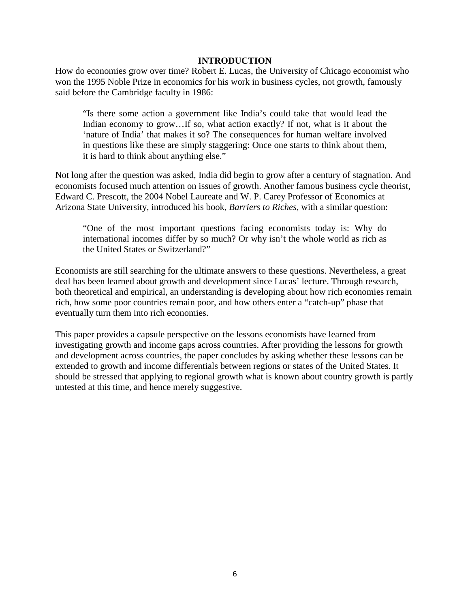#### **INTRODUCTION**

How do economies grow over time? Robert E. Lucas, the University of Chicago economist who won the 1995 Noble Prize in economics for his work in business cycles, not growth, famously said before the Cambridge faculty in 1986:

"Is there some action a government like India's could take that would lead the Indian economy to grow...If so, what action exactly? If not, what is it about the 'nature of India' that makes it so? The consequences for human welfare involved in questions like these are simply staggering: Once one starts to think about them, it is hard to think about anything else."

Not long after the question was asked, India did begin to grow after a century of stagnation. And economists focused much attention on issues of growth. Another famous business cycle theorist, Edward C. Prescott, the 2004 Nobel Laureate and W. P. Carey Professor of Economics at Arizona State University, introduced his book, *Barriers to Riches*, with a similar question:

"One of the most important questions facing economists today is: Why do international incomes differ by so much? Or why isn't the whole world as rich as the United States or Switzerland?"

Economists are still searching for the ultimate answers to these questions. Nevertheless, a great deal has been learned about growth and development since Lucas' lecture. Through research, both theoretical and empirical, an understanding is developing about how rich economies remain rich, how some poor countries remain poor, and how others enter a "catch-up" phase that eventually turn them into rich economies.

This paper provides a capsule perspective on the lessons economists have learned from investigating growth and income gaps across countries. After providing the lessons for growth and development across countries, the paper concludes by asking whether these lessons can be extended to growth and income differentials between regions or states of the United States. It should be stressed that applying to regional growth what is known about country growth is partly untested at this time, and hence merely suggestive.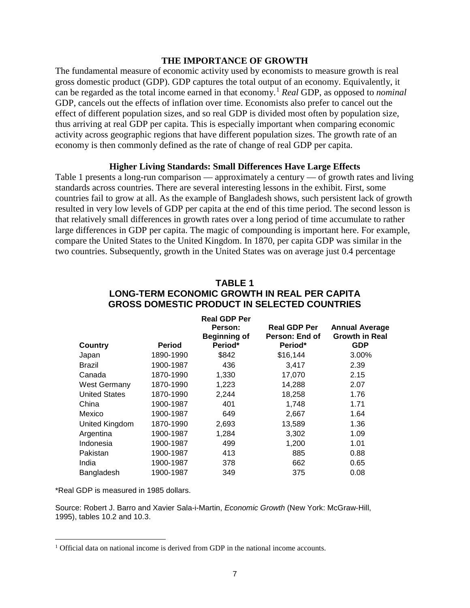#### **THE IMPORTANCE OF GROWTH**

The fundamental measure of economic activity used by economists to measure growth is real gross domestic product (GDP). GDP captures the total output of an economy. Equivalently, it can be regarded as the total income earned in that economy.[1](#page-8-0) *Real* GDP, as opposed to *nominal* GDP, cancels out the effects of inflation over time. Economists also prefer to cancel out the effect of different population sizes, and so real GDP is divided most often by population size, thus arriving at real GDP per capita. This is especially important when comparing economic activity across geographic regions that have different population sizes. The growth rate of an economy is then commonly defined as the rate of change of real GDP per capita.

#### **Higher Living Standards: Small Differences Have Large Effects**

Table 1 presents a long-run comparison — approximately a century — of growth rates and living standards across countries. There are several interesting lessons in the exhibit. First, some countries fail to grow at all. As the example of Bangladesh shows, such persistent lack of growth resulted in very low levels of GDP per capita at the end of this time period. The second lesson is that relatively small differences in growth rates over a long period of time accumulate to rather large differences in GDP per capita. The magic of compounding is important here. For example, compare the United States to the United Kingdom. In 1870, per capita GDP was similar in the two countries. Subsequently, growth in the United States was on average just 0.4 percentage

| GROSS DOMESTIC PRODUCT IN SELECTED COUNTRIES |               |                                                                  |                                                  |                                                              |  |  |
|----------------------------------------------|---------------|------------------------------------------------------------------|--------------------------------------------------|--------------------------------------------------------------|--|--|
| Country                                      | <b>Period</b> | <b>Real GDP Per</b><br>Person:<br><b>Beginning of</b><br>Period* | <b>Real GDP Per</b><br>Person: End of<br>Period* | <b>Annual Average</b><br><b>Growth in Real</b><br><b>GDP</b> |  |  |
| Japan                                        | 1890-1990     | \$842                                                            | \$16,144                                         | 3.00%                                                        |  |  |
| Brazil                                       | 1900-1987     | 436                                                              | 3,417                                            | 2.39                                                         |  |  |
| Canada                                       | 1870-1990     | 1,330                                                            | 17,070                                           | 2.15                                                         |  |  |
| West Germany                                 | 1870-1990     | 1,223                                                            | 14,288                                           | 2.07                                                         |  |  |
| <b>United States</b>                         | 1870-1990     | 2,244                                                            | 18,258                                           | 1.76                                                         |  |  |
| China                                        | 1900-1987     | 401                                                              | 1,748                                            | 1.71                                                         |  |  |
| Mexico                                       | 1900-1987     | 649                                                              | 2,667                                            | 1.64                                                         |  |  |
| United Kingdom                               | 1870-1990     | 2,693                                                            | 13,589                                           | 1.36                                                         |  |  |
| Argentina                                    | 1900-1987     | 1,284                                                            | 3,302                                            | 1.09                                                         |  |  |
| Indonesia                                    | 1900-1987     | 499                                                              | 1,200                                            | 1.01                                                         |  |  |
| Pakistan                                     | 1900-1987     | 413                                                              | 885                                              | 0.88                                                         |  |  |
| India                                        | 1900-1987     | 378                                                              | 662                                              | 0.65                                                         |  |  |
| Bangladesh                                   | 1900-1987     | 349                                                              | 375                                              | 0.08                                                         |  |  |

## **TABLE 1 LONG-TERM ECONOMIC GROWTH IN REAL PER CAPITA GROSS DOMESTIC PRODUCT IN SELECTED COUNTRIES**

\*Real GDP is measured in 1985 dollars.

 $\overline{a}$ 

Source: Robert J. Barro and Xavier Sala-i-Martin, *Economic Growth* (New York: McGraw-Hill, 1995), tables 10.2 and 10.3.

<span id="page-8-0"></span><sup>1</sup> Official data on national income is derived from GDP in the national income accounts.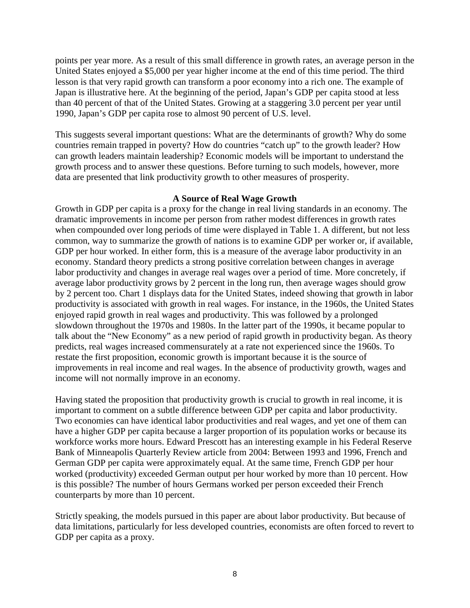points per year more. As a result of this small difference in growth rates, an average person in the United States enjoyed a \$5,000 per year higher income at the end of this time period. The third lesson is that very rapid growth can transform a poor economy into a rich one. The example of Japan is illustrative here. At the beginning of the period, Japan's GDP per capita stood at less than 40 percent of that of the United States. Growing at a staggering 3.0 percent per year until 1990, Japan's GDP per capita rose to almost 90 percent of U.S. level.

This suggests several important questions: What are the determinants of growth? Why do some countries remain trapped in poverty? How do countries "catch up" to the growth leader? How can growth leaders maintain leadership? Economic models will be important to understand the growth process and to answer these questions. Before turning to such models, however, more data are presented that link productivity growth to other measures of prosperity.

## **A Source of Real Wage Growth**

Growth in GDP per capita is a proxy for the change in real living standards in an economy. The dramatic improvements in income per person from rather modest differences in growth rates when compounded over long periods of time were displayed in Table 1. A different, but not less common, way to summarize the growth of nations is to examine GDP per worker or, if available, GDP per hour worked. In either form, this is a measure of the average labor productivity in an economy. Standard theory predicts a strong positive correlation between changes in average labor productivity and changes in average real wages over a period of time. More concretely, if average labor productivity grows by 2 percent in the long run, then average wages should grow by 2 percent too. Chart 1 displays data for the United States, indeed showing that growth in labor productivity is associated with growth in real wages. For instance, in the 1960s, the United States enjoyed rapid growth in real wages and productivity. This was followed by a prolonged slowdown throughout the 1970s and 1980s. In the latter part of the 1990s, it became popular to talk about the "New Economy" as a new period of rapid growth in productivity began. As theory predicts, real wages increased commensurately at a rate not experienced since the 1960s. To restate the first proposition, economic growth is important because it is the source of improvements in real income and real wages. In the absence of productivity growth, wages and income will not normally improve in an economy.

Having stated the proposition that productivity growth is crucial to growth in real income, it is important to comment on a subtle difference between GDP per capita and labor productivity. Two economies can have identical labor productivities and real wages, and yet one of them can have a higher GDP per capita because a larger proportion of its population works or because its workforce works more hours. Edward Prescott has an interesting example in his Federal Reserve Bank of Minneapolis Quarterly Review article from 2004: Between 1993 and 1996, French and German GDP per capita were approximately equal. At the same time, French GDP per hour worked (productivity) exceeded German output per hour worked by more than 10 percent. How is this possible? The number of hours Germans worked per person exceeded their French counterparts by more than 10 percent.

Strictly speaking, the models pursued in this paper are about labor productivity. But because of data limitations, particularly for less developed countries, economists are often forced to revert to GDP per capita as a proxy.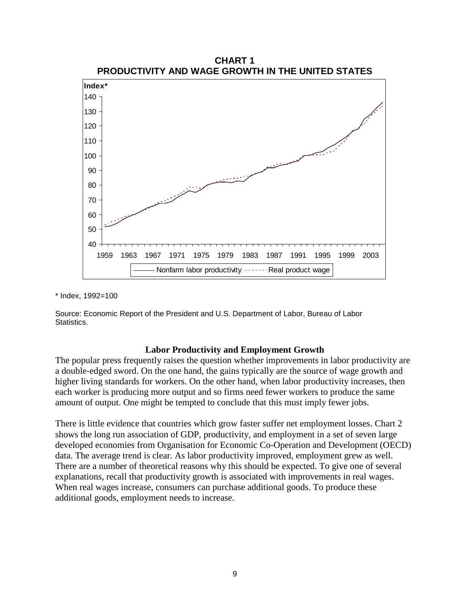

\* Index, 1992=100

Source: Economic Report of the President and U.S. Department of Labor, Bureau of Labor Statistics.

#### **Labor Productivity and Employment Growth**

The popular press frequently raises the question whether improvements in labor productivity are a double-edged sword. On the one hand, the gains typically are the source of wage growth and higher living standards for workers. On the other hand, when labor productivity increases, then each worker is producing more output and so firms need fewer workers to produce the same amount of output. One might be tempted to conclude that this must imply fewer jobs.

There is little evidence that countries which grow faster suffer net employment losses. Chart 2 shows the long run association of GDP, productivity, and employment in a set of seven large developed economies from Organisation for Economic Co-Operation and Development (OECD) data. The average trend is clear. As labor productivity improved, employment grew as well. There are a number of theoretical reasons why this should be expected. To give one of several explanations, recall that productivity growth is associated with improvements in real wages. When real wages increase, consumers can purchase additional goods. To produce these additional goods, employment needs to increase.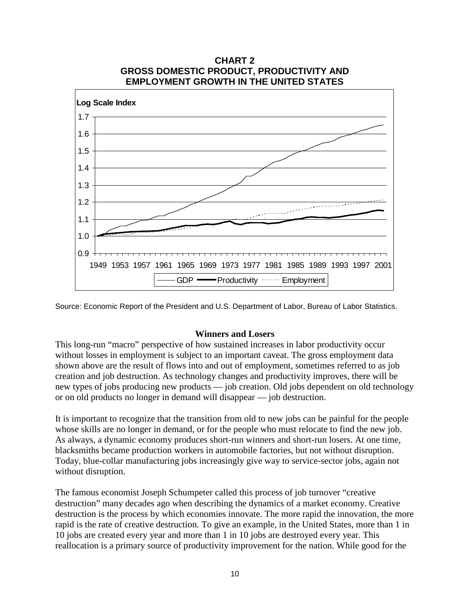

Source: Economic Report of the President and U.S. Department of Labor, Bureau of Labor Statistics.

## **Winners and Losers**

This long-run "macro" perspective of how sustained increases in labor productivity occur without losses in employment is subject to an important caveat. The gross employment data shown above are the result of flows into and out of employment, sometimes referred to as job creation and job destruction. As technology changes and productivity improves, there will be new types of jobs producing new products — job creation. Old jobs dependent on old technology or on old products no longer in demand will disappear — job destruction.

It is important to recognize that the transition from old to new jobs can be painful for the people whose skills are no longer in demand, or for the people who must relocate to find the new job. As always, a dynamic economy produces short-run winners and short-run losers. At one time, blacksmiths became production workers in automobile factories, but not without disruption. Today, blue-collar manufacturing jobs increasingly give way to service-sector jobs, again not without disruption.

The famous economist Joseph Schumpeter called this process of job turnover "creative destruction" many decades ago when describing the dynamics of a market economy. Creative destruction is the process by which economies innovate. The more rapid the innovation, the more rapid is the rate of creative destruction. To give an example, in the United States, more than 1 in 10 jobs are created every year and more than 1 in 10 jobs are destroyed every year. This reallocation is a primary source of productivity improvement for the nation. While good for the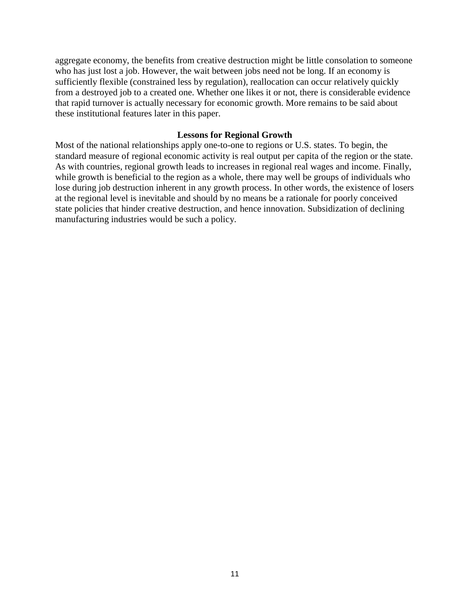aggregate economy, the benefits from creative destruction might be little consolation to someone who has just lost a job. However, the wait between jobs need not be long. If an economy is sufficiently flexible (constrained less by regulation), reallocation can occur relatively quickly from a destroyed job to a created one. Whether one likes it or not, there is considerable evidence that rapid turnover is actually necessary for economic growth. More remains to be said about these institutional features later in this paper.

#### **Lessons for Regional Growth**

Most of the national relationships apply one-to-one to regions or U.S. states. To begin, the standard measure of regional economic activity is real output per capita of the region or the state. As with countries, regional growth leads to increases in regional real wages and income. Finally, while growth is beneficial to the region as a whole, there may well be groups of individuals who lose during job destruction inherent in any growth process. In other words, the existence of losers at the regional level is inevitable and should by no means be a rationale for poorly conceived state policies that hinder creative destruction, and hence innovation. Subsidization of declining manufacturing industries would be such a policy.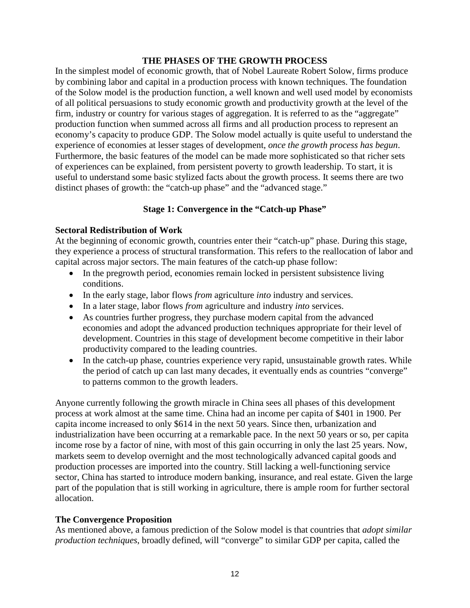## **THE PHASES OF THE GROWTH PROCESS**

In the simplest model of economic growth, that of Nobel Laureate Robert Solow, firms produce by combining labor and capital in a production process with known techniques. The foundation of the Solow model is the production function, a well known and well used model by economists of all political persuasions to study economic growth and productivity growth at the level of the firm, industry or country for various stages of aggregation. It is referred to as the "aggregate" production function when summed across all firms and all production process to represent an economy's capacity to produce GDP. The Solow model actually is quite useful to understand the experience of economies at lesser stages of development, *once the growth process has begun*. Furthermore, the basic features of the model can be made more sophisticated so that richer sets of experiences can be explained, from persistent poverty to growth leadership. To start, it is useful to understand some basic stylized facts about the growth process. It seems there are two distinct phases of growth: the "catch-up phase" and the "advanced stage."

## **Stage 1: Convergence in the "Catch-up Phase"**

## **Sectoral Redistribution of Work**

At the beginning of economic growth, countries enter their "catch-up" phase. During this stage, they experience a process of structural transformation. This refers to the reallocation of labor and capital across major sectors. The main features of the catch-up phase follow:

- In the pregrowth period, economies remain locked in persistent subsistence living conditions.
- In the early stage, labor flows *from* agriculture *into* industry and services.
- In a later stage, labor flows *from* agriculture and industry *into* services.
- As countries further progress, they purchase modern capital from the advanced economies and adopt the advanced production techniques appropriate for their level of development. Countries in this stage of development become competitive in their labor productivity compared to the leading countries.
- In the catch-up phase, countries experience very rapid, unsustainable growth rates. While the period of catch up can last many decades, it eventually ends as countries "converge" to patterns common to the growth leaders.

Anyone currently following the growth miracle in China sees all phases of this development process at work almost at the same time. China had an income per capita of \$401 in 1900. Per capita income increased to only \$614 in the next 50 years. Since then, urbanization and industrialization have been occurring at a remarkable pace. In the next 50 years or so, per capita income rose by a factor of nine, with most of this gain occurring in only the last 25 years. Now, markets seem to develop overnight and the most technologically advanced capital goods and production processes are imported into the country. Still lacking a well-functioning service sector, China has started to introduce modern banking, insurance, and real estate. Given the large part of the population that is still working in agriculture, there is ample room for further sectoral allocation.

## **The Convergence Proposition**

As mentioned above, a famous prediction of the Solow model is that countries that *adopt similar production techniques*, broadly defined, will "converge" to similar GDP per capita, called the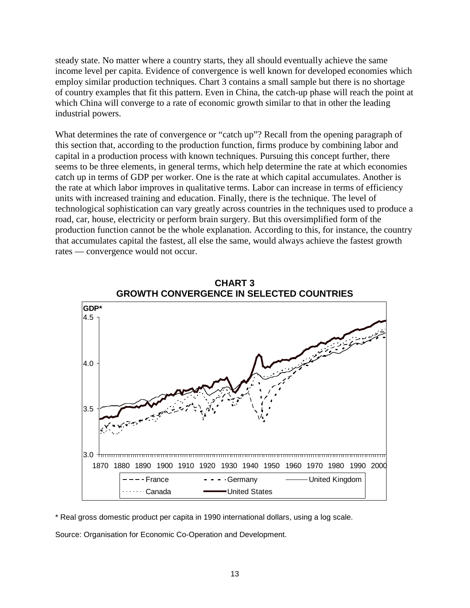steady state. No matter where a country starts, they all should eventually achieve the same income level per capita. Evidence of convergence is well known for developed economies which employ similar production techniques. Chart 3 contains a small sample but there is no shortage of country examples that fit this pattern. Even in China, the catch-up phase will reach the point at which China will converge to a rate of economic growth similar to that in other the leading industrial powers.

What determines the rate of convergence or "catch up"? Recall from the opening paragraph of this section that, according to the production function, firms produce by combining labor and capital in a production process with known techniques. Pursuing this concept further, there seems to be three elements, in general terms, which help determine the rate at which economies catch up in terms of GDP per worker. One is the rate at which capital accumulates. Another is the rate at which labor improves in qualitative terms. Labor can increase in terms of efficiency units with increased training and education. Finally, there is the technique. The level of technological sophistication can vary greatly across countries in the techniques used to produce a road, car, house, electricity or perform brain surgery. But this oversimplified form of the production function cannot be the whole explanation. According to this, for instance, the country that accumulates capital the fastest, all else the same, would always achieve the fastest growth rates — convergence would not occur.



**CHART 3**

\* Real gross domestic product per capita in 1990 international dollars, using a log scale.

Source: Organisation for Economic Co-Operation and Development.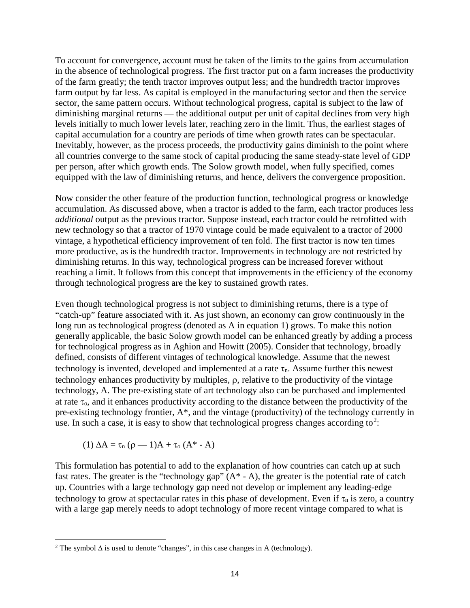To account for convergence, account must be taken of the limits to the gains from accumulation in the absence of technological progress. The first tractor put on a farm increases the productivity of the farm greatly; the tenth tractor improves output less; and the hundredth tractor improves farm output by far less. As capital is employed in the manufacturing sector and then the service sector, the same pattern occurs. Without technological progress, capital is subject to the law of diminishing marginal returns — the additional output per unit of capital declines from very high levels initially to much lower levels later, reaching zero in the limit. Thus, the earliest stages of capital accumulation for a country are periods of time when growth rates can be spectacular. Inevitably, however, as the process proceeds, the productivity gains diminish to the point where all countries converge to the same stock of capital producing the same steady-state level of GDP per person, after which growth ends. The Solow growth model, when fully specified, comes equipped with the law of diminishing returns, and hence, delivers the convergence proposition.

Now consider the other feature of the production function, technological progress or knowledge accumulation. As discussed above, when a tractor is added to the farm, each tractor produces less *additional* output as the previous tractor. Suppose instead, each tractor could be retrofitted with new technology so that a tractor of 1970 vintage could be made equivalent to a tractor of 2000 vintage, a hypothetical efficiency improvement of ten fold. The first tractor is now ten times more productive, as is the hundredth tractor. Improvements in technology are not restricted by diminishing returns. In this way, technological progress can be increased forever without reaching a limit. It follows from this concept that improvements in the efficiency of the economy through technological progress are the key to sustained growth rates.

Even though technological progress is not subject to diminishing returns, there is a type of "catch-up" feature associated with it. As just shown, an economy can grow continuously in the long run as technological progress (denoted as A in equation 1) grows. To make this notion generally applicable, the basic Solow growth model can be enhanced greatly by adding a process for technological progress as in Aghion and Howitt (2005). Consider that technology, broadly defined, consists of different vintages of technological knowledge. Assume that the newest technology is invented, developed and implemented at a rate  $\tau_n$ . Assume further this newest technology enhances productivity by multiples, ρ, relative to the productivity of the vintage technology, A. The pre-existing state of art technology also can be purchased and implemented at rate  $\tau_0$ , and it enhances productivity according to the distance between the productivity of the pre-existing technology frontier, A\*, and the vintage (productivity) of the technology currently in use. In such a case, it is easy to show that technological progress changes according to<sup>[2](#page-15-0)</sup>:

$$
(1) \Delta A = \tau_n (\rho - 1)A + \tau_o (A^* - A)
$$

 $\overline{a}$ 

This formulation has potential to add to the explanation of how countries can catch up at such fast rates. The greater is the "technology gap"  $(A^* - A)$ , the greater is the potential rate of catch up. Countries with a large technology gap need not develop or implement any leading-edge technology to grow at spectacular rates in this phase of development. Even if  $\tau_n$  is zero, a country with a large gap merely needs to adopt technology of more recent vintage compared to what is

<span id="page-15-0"></span><sup>&</sup>lt;sup>2</sup> The symbol  $\Delta$  is used to denote "changes", in this case changes in A (technology).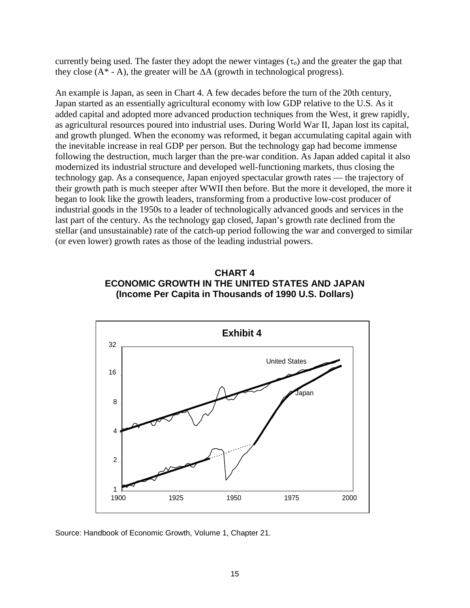currently being used. The faster they adopt the newer vintages ( $\tau_0$ ) and the greater the gap that they close ( $A^*$  - A), the greater will be  $\Delta A$  (growth in technological progress).

An example is Japan, as seen in Chart 4. A few decades before the turn of the 20th century, Japan started as an essentially agricultural economy with low GDP relative to the U.S. As it added capital and adopted more advanced production techniques from the West, it grew rapidly, as agricultural resources poured into industrial uses. During World War II, Japan lost its capital, and growth plunged. When the economy was reformed, it began accumulating capital again with the inevitable increase in real GDP per person. But the technology gap had become immense following the destruction, much larger than the pre-war condition. As Japan added capital it also modernized its industrial structure and developed well-functioning markets, thus closing the technology gap. As a consequence, Japan enjoyed spectacular growth rates — the trajectory of their growth path is much steeper after WWII then before. But the more it developed, the more it began to look like the growth leaders, transforming from a productive low-cost producer of industrial goods in the 1950s to a leader of technologically advanced goods and services in the last part of the century. As the technology gap closed, Japan's growth rate declined from the stellar (and unsustainable) rate of the catch-up period following the war and converged to similar (or even lower) growth rates as those of the leading industrial powers.

## **CHART 4 ECONOMIC GROWTH IN THE UNITED STATES AND JAPAN (Income Per Capita in Thousands of 1990 U.S. Dollars)**



Source: Handbook of Economic Growth, Volume 1, Chapter 21.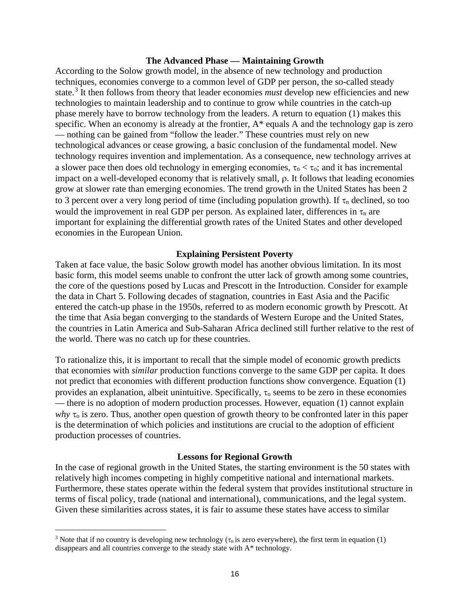#### **The Advanced Phase — Maintaining Growth**

According to the Solow growth model, in the absence of new technology and production techniques, economies converge to a common level of GDP per person, the so-called steady state.[3](#page-17-0) It then follows from theory that leader economies *must* develop new efficiencies and new technologies to maintain leadership and to continue to grow while countries in the catch-up phase merely have to borrow technology from the leaders. A return to equation (1) makes this specific. When an economy is already at the frontier, A\* equals A and the technology gap is zero — nothing can be gained from "follow the leader." These countries must rely on new technological advances or cease growing, a basic conclusion of the fundamental model. New technology requires invention and implementation. As a consequence, new technology arrives at a slower pace then does old technology in emerging economies,  $\tau_n < \tau_o$ ; and it has incremental impact on a well-developed economy that is relatively small, ρ. It follows that leading economies grow at slower rate than emerging economies. The trend growth in the United States has been 2 to 3 percent over a very long period of time (including population growth). If  $\tau_n$  declined, so too would the improvement in real GDP per person. As explained later, differences in  $\tau_n$  are important for explaining the differential growth rates of the United States and other developed economies in the European Union.

#### **Explaining Persistent Poverty**

Taken at face value, the basic Solow growth model has another obvious limitation. In its most basic form, this model seems unable to confront the utter lack of growth among some countries, the core of the questions posed by Lucas and Prescott in the Introduction. Consider for example the data in Chart 5. Following decades of stagnation, countries in East Asia and the Pacific entered the catch-up phase in the 1950s, referred to as modern economic growth by Prescott. At the time that Asia began converging to the standards of Western Europe and the United States, the countries in Latin America and Sub-Saharan Africa declined still further relative to the rest of the world. There was no catch up for these countries.

To rationalize this, it is important to recall that the simple model of economic growth predicts that economies with *similar* production functions converge to the same GDP per capita. It does not predict that economies with different production functions show convergence. Equation (1) provides an explanation, albeit unintuitive. Specifically,  $\tau_0$  seems to be zero in these economies — there is no adoption of modern production processes. However, equation (1) cannot explain *why*  $\tau_0$  is zero. Thus, another open question of growth theory to be confronted later in this paper is the determination of which policies and institutions are crucial to the adoption of efficient production processes of countries.

#### **Lessons for Regional Growth**

In the case of regional growth in the United States, the starting environment is the 50 states with relatively high incomes competing in highly competitive national and international markets. Furthermore, these states operate within the federal system that provides institutional structure in terms of fiscal policy, trade (national and international), communications, and the legal system. Given these similarities across states, it is fair to assume these states have access to similar

 $\overline{a}$ 

<span id="page-17-0"></span><sup>&</sup>lt;sup>3</sup> Note that if no country is developing new technology ( $\tau_n$  is zero everywhere), the first term in equation (1) disappears and all countries converge to the steady state with A\* technology.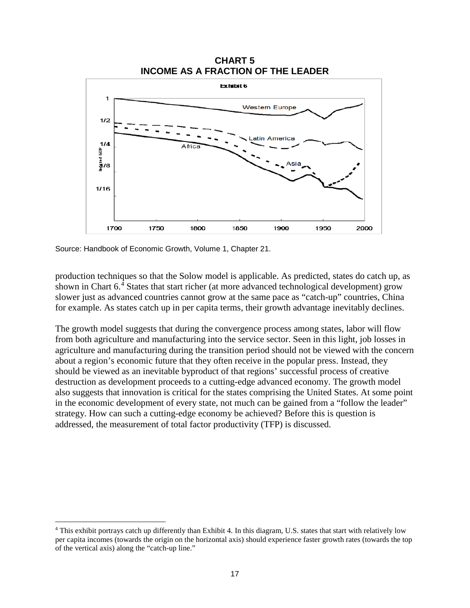

Source: Handbook of Economic Growth, Volume 1, Chapter 21.

production techniques so that the Solow model is applicable. As predicted, states do catch up, as

shown in Chart 6.<sup>[4](#page-18-0)</sup> States that start richer (at more advanced technological development) grow slower just as advanced countries cannot grow at the same pace as "catch-up" countries, China for example. As states catch up in per capita terms, their growth advantage inevitably declines.

The growth model suggests that during the convergence process among states, labor will flow from both agriculture and manufacturing into the service sector. Seen in this light, job losses in agriculture and manufacturing during the transition period should not be viewed with the concern about a region's economic future that they often receive in the popular press. Instead, they should be viewed as an inevitable byproduct of that regions' successful process of creative destruction as development proceeds to a cutting-edge advanced economy. The growth model also suggests that innovation is critical for the states comprising the United States. At some point in the economic development of every state, not much can be gained from a "follow the leader" strategy. How can such a cutting-edge economy be achieved? Before this is question is addressed, the measurement of total factor productivity (TFP) is discussed.

<span id="page-18-0"></span><sup>4</sup> This exhibit portrays catch up differently than Exhibit 4. In this diagram, U.S. states that start with relatively low per capita incomes (towards the origin on the horizontal axis) should experience faster growth rates (towards the top of the vertical axis) along the "catch-up line."  $\overline{a}$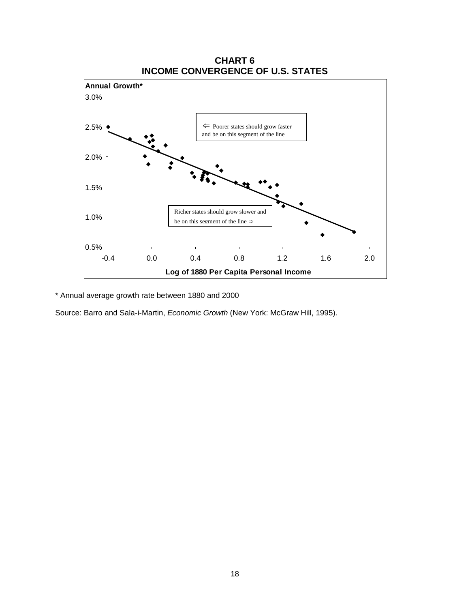

\* Annual average growth rate between 1880 and 2000

Source: Barro and Sala-i-Martin, *Economic Growth* (New York: McGraw Hill, 1995).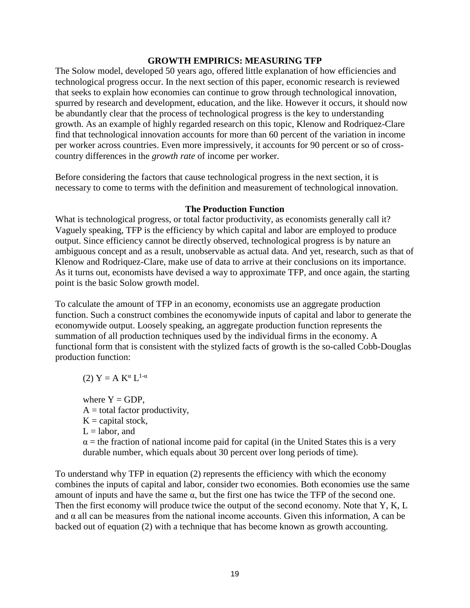#### **GROWTH EMPIRICS: MEASURING TFP**

The Solow model, developed 50 years ago, offered little explanation of how efficiencies and technological progress occur. In the next section of this paper, economic research is reviewed that seeks to explain how economies can continue to grow through technological innovation, spurred by research and development, education, and the like. However it occurs, it should now be abundantly clear that the process of technological progress is the key to understanding growth. As an example of highly regarded research on this topic, Klenow and Rodriquez-Clare find that technological innovation accounts for more than 60 percent of the variation in income per worker across countries. Even more impressively, it accounts for 90 percent or so of crosscountry differences in the *growth rate* of income per worker.

Before considering the factors that cause technological progress in the next section, it is necessary to come to terms with the definition and measurement of technological innovation.

## **The Production Function**

What is technological progress, or total factor productivity, as economists generally call it? Vaguely speaking, TFP is the efficiency by which capital and labor are employed to produce output. Since efficiency cannot be directly observed, technological progress is by nature an ambiguous concept and as a result, unobservable as actual data. And yet, research, such as that of Klenow and Rodriquez-Clare, make use of data to arrive at their conclusions on its importance. As it turns out, economists have devised a way to approximate TFP, and once again, the starting point is the basic Solow growth model.

To calculate the amount of TFP in an economy, economists use an aggregate production function. Such a construct combines the economywide inputs of capital and labor to generate the economywide output. Loosely speaking, an aggregate production function represents the summation of all production techniques used by the individual firms in the economy. A functional form that is consistent with the stylized facts of growth is the so-called Cobb-Douglas production function:

(2)  $Y = A K^{\alpha} L^{1-\alpha}$ 

where  $Y = GDP$ .  $A =$  total factor productivity,  $K =$  capital stock,  $L =$ labor, and  $\alpha$  = the fraction of national income paid for capital (in the United States this is a very durable number, which equals about 30 percent over long periods of time).

To understand why TFP in equation (2) represents the efficiency with which the economy combines the inputs of capital and labor, consider two economies. Both economies use the same amount of inputs and have the same  $\alpha$ , but the first one has twice the TFP of the second one. Then the first economy will produce twice the output of the second economy. Note that Y, K, L and  $\alpha$  all can be measures from the national income accounts. Given this information, A can be backed out of equation (2) with a technique that has become known as growth accounting.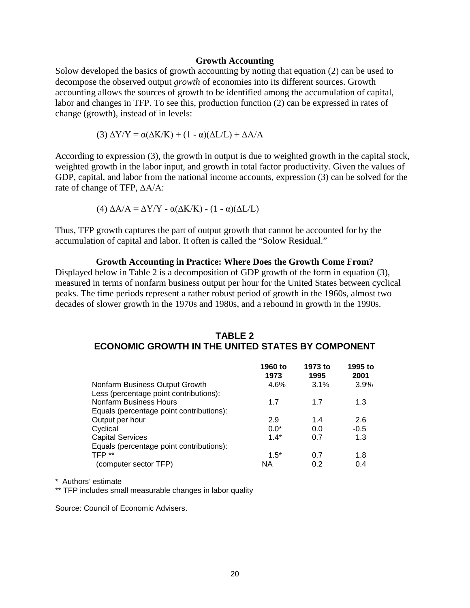#### **Growth Accounting**

Solow developed the basics of growth accounting by noting that equation (2) can be used to decompose the observed output *growth* of economies into its different sources. Growth accounting allows the sources of growth to be identified among the accumulation of capital, labor and changes in TFP. To see this, production function (2) can be expressed in rates of change (growth), instead of in levels:

(3)  $\Delta$ Y/Y =  $\alpha$ ( $\Delta$ K/K) + (1 -  $\alpha$ )( $\Delta$ L/L) +  $\Delta$ A/A

According to expression (3), the growth in output is due to weighted growth in the capital stock, weighted growth in the labor input, and growth in total factor productivity. Given the values of GDP, capital, and labor from the national income accounts, expression (3) can be solved for the rate of change of TFP, ∆A/A:

(4) 
$$
\Delta A/A = \Delta Y/Y - \alpha(\Delta K/K) - (1 - \alpha)(\Delta L/L)
$$

Thus, TFP growth captures the part of output growth that cannot be accounted for by the accumulation of capital and labor. It often is called the "Solow Residual."

#### **Growth Accounting in Practice: Where Does the Growth Come From?**

Displayed below in Table 2 is a decomposition of GDP growth of the form in equation (3), measured in terms of nonfarm business output per hour for the United States between cyclical peaks. The time periods represent a rather robust period of growth in the 1960s, almost two decades of slower growth in the 1970s and 1980s, and a rebound in growth in the 1990s.

## **TABLE 2 ECONOMIC GROWTH IN THE UNITED STATES BY COMPONENT**

|                                          | 1960 to<br>1973 | 1973 to<br>1995 | 1995 to<br>2001 |
|------------------------------------------|-----------------|-----------------|-----------------|
| Nonfarm Business Output Growth           | 4.6%            | 3.1%            | 3.9%            |
| Less (percentage point contributions):   |                 |                 |                 |
| <b>Nonfarm Business Hours</b>            | 1.7             | 17              | 1.3             |
| Equals (percentage point contributions): |                 |                 |                 |
| Output per hour                          | 2.9             | 1.4             | 2.6             |
| Cyclical                                 | $0.0*$          | 0.0             | $-0.5$          |
| <b>Capital Services</b>                  | $1.4*$          | 0.7             | 1.3             |
| Equals (percentage point contributions): |                 |                 |                 |
| TFP **                                   | $1.5*$          | 0.7             | 1.8             |
| (computer sector TFP)                    | NА              | 0.2             | 0.4             |

\* Authors' estimate

\*\* TFP includes small measurable changes in labor quality

Source: Council of Economic Advisers.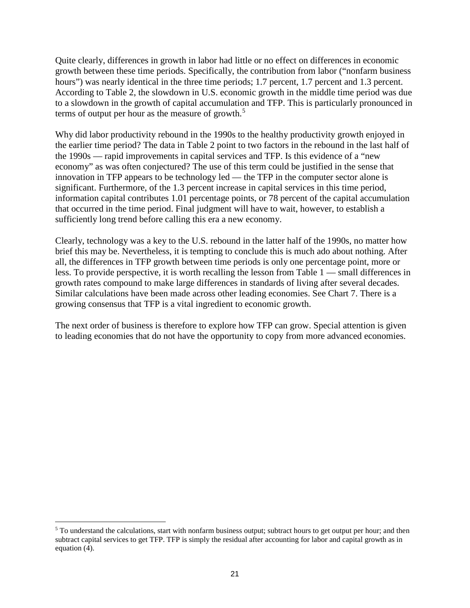Quite clearly, differences in growth in labor had little or no effect on differences in economic growth between these time periods. Specifically, the contribution from labor ("nonfarm business hours") was nearly identical in the three time periods; 1.7 percent, 1.7 percent and 1.3 percent. According to Table 2, the slowdown in U.S. economic growth in the middle time period was due to a slowdown in the growth of capital accumulation and TFP. This is particularly pronounced in terms of output per hour as the measure of growth. [5](#page-22-0)

Why did labor productivity rebound in the 1990s to the healthy productivity growth enjoyed in the earlier time period? The data in Table 2 point to two factors in the rebound in the last half of the 1990s — rapid improvements in capital services and TFP. Is this evidence of a "new economy" as was often conjectured? The use of this term could be justified in the sense that innovation in TFP appears to be technology led — the TFP in the computer sector alone is significant. Furthermore, of the 1.3 percent increase in capital services in this time period, information capital contributes 1.01 percentage points, or 78 percent of the capital accumulation that occurred in the time period. Final judgment will have to wait, however, to establish a sufficiently long trend before calling this era a new economy.

Clearly, technology was a key to the U.S. rebound in the latter half of the 1990s, no matter how brief this may be. Nevertheless, it is tempting to conclude this is much ado about nothing. After all, the differences in TFP growth between time periods is only one percentage point, more or less. To provide perspective, it is worth recalling the lesson from Table 1 — small differences in growth rates compound to make large differences in standards of living after several decades. Similar calculations have been made across other leading economies. See Chart 7. There is a growing consensus that TFP is a vital ingredient to economic growth.

The next order of business is therefore to explore how TFP can grow. Special attention is given to leading economies that do not have the opportunity to copy from more advanced economies.

 $\overline{a}$ 

<span id="page-22-0"></span> $5$  To understand the calculations, start with nonfarm business output; subtract hours to get output per hour; and then subtract capital services to get TFP. TFP is simply the residual after accounting for labor and capital growth as in equation (4).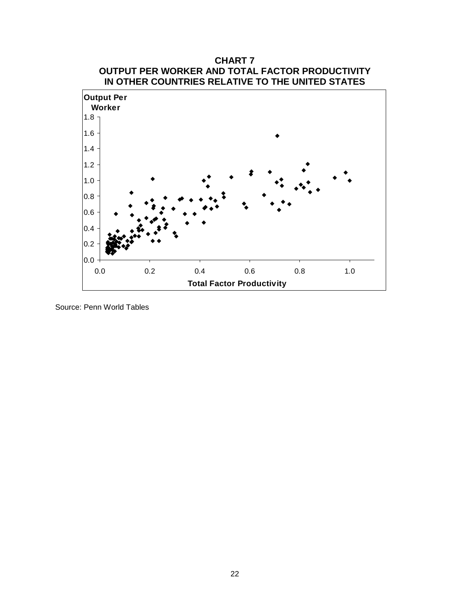

Source: Penn World Tables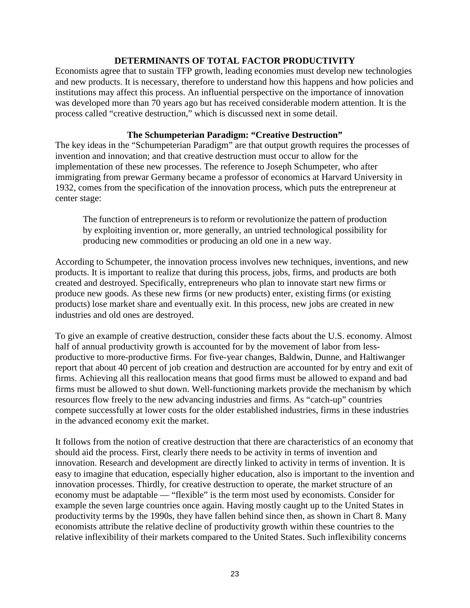## **DETERMINANTS OF TOTAL FACTOR PRODUCTIVITY**

Economists agree that to sustain TFP growth, leading economies must develop new technologies and new products. It is necessary, therefore to understand how this happens and how policies and institutions may affect this process. An influential perspective on the importance of innovation was developed more than 70 years ago but has received considerable modern attention. It is the process called "creative destruction," which is discussed next in some detail.

## **The Schumpeterian Paradigm: "Creative Destruction"**

The key ideas in the "Schumpeterian Paradigm" are that output growth requires the processes of invention and innovation; and that creative destruction must occur to allow for the implementation of these new processes. The reference to Joseph Schumpeter, who after immigrating from prewar Germany became a professor of economics at Harvard University in 1932, comes from the specification of the innovation process, which puts the entrepreneur at center stage:

The function of entrepreneurs is to reform or revolutionize the pattern of production by exploiting invention or, more generally, an untried technological possibility for producing new commodities or producing an old one in a new way.

According to Schumpeter, the innovation process involves new techniques, inventions, and new products. It is important to realize that during this process, jobs, firms, and products are both created and destroyed. Specifically, entrepreneurs who plan to innovate start new firms or produce new goods. As these new firms (or new products) enter, existing firms (or existing products) lose market share and eventually exit. In this process, new jobs are created in new industries and old ones are destroyed.

To give an example of creative destruction, consider these facts about the U.S. economy. Almost half of annual productivity growth is accounted for by the movement of labor from lessproductive to more-productive firms. For five-year changes, Baldwin, Dunne, and Haltiwanger report that about 40 percent of job creation and destruction are accounted for by entry and exit of firms. Achieving all this reallocation means that good firms must be allowed to expand and bad firms must be allowed to shut down. Well-functioning markets provide the mechanism by which resources flow freely to the new advancing industries and firms. As "catch-up" countries compete successfully at lower costs for the older established industries, firms in these industries in the advanced economy exit the market.

It follows from the notion of creative destruction that there are characteristics of an economy that should aid the process. First, clearly there needs to be activity in terms of invention and innovation. Research and development are directly linked to activity in terms of invention. It is easy to imagine that education, especially higher education, also is important to the invention and innovation processes. Thirdly, for creative destruction to operate, the market structure of an economy must be adaptable — "flexible" is the term most used by economists. Consider for example the seven large countries once again. Having mostly caught up to the United States in productivity terms by the 1990s, they have fallen behind since then, as shown in Chart 8. Many economists attribute the relative decline of productivity growth within these countries to the relative inflexibility of their markets compared to the United States. Such inflexibility concerns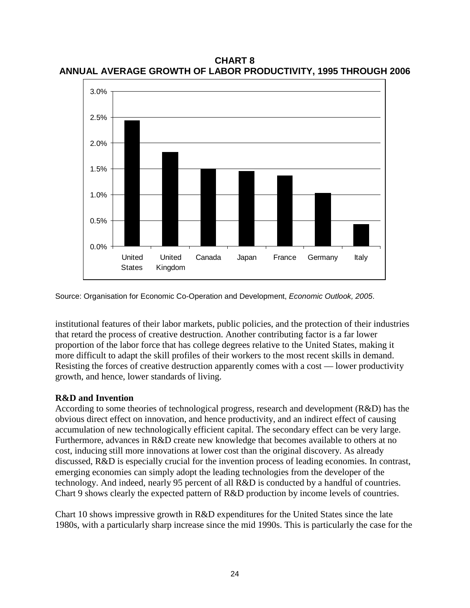**CHART 8 ANNUAL AVERAGE GROWTH OF LABOR PRODUCTIVITY, 1995 THROUGH 2006**



Source: Organisation for Economic Co-Operation and Development, *Economic Outlook, 2005*.

institutional features of their labor markets, public policies, and the protection of their industries that retard the process of creative destruction. Another contributing factor is a far lower proportion of the labor force that has college degrees relative to the United States, making it more difficult to adapt the skill profiles of their workers to the most recent skills in demand. Resisting the forces of creative destruction apparently comes with a cost — lower productivity growth, and hence, lower standards of living.

## **R&D and Invention**

According to some theories of technological progress, research and development (R&D) has the obvious direct effect on innovation, and hence productivity, and an indirect effect of causing accumulation of new technologically efficient capital. The secondary effect can be very large. Furthermore, advances in R&D create new knowledge that becomes available to others at no cost, inducing still more innovations at lower cost than the original discovery. As already discussed, R&D is especially crucial for the invention process of leading economies. In contrast, emerging economies can simply adopt the leading technologies from the developer of the technology. And indeed, nearly 95 percent of all R&D is conducted by a handful of countries. Chart 9 shows clearly the expected pattern of R&D production by income levels of countries.

Chart 10 shows impressive growth in R&D expenditures for the United States since the late 1980s, with a particularly sharp increase since the mid 1990s. This is particularly the case for the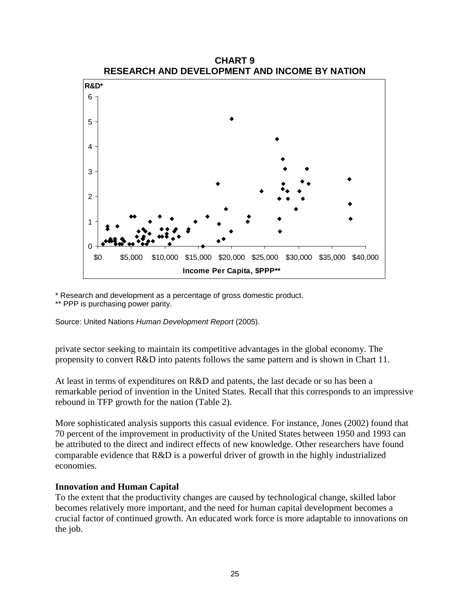

\* Research and development as a percentage of gross domestic product.

\*\* PPP is purchasing power parity.

Source: United Nations *Human Development Report* (2005).

private sector seeking to maintain its competitive advantages in the global economy. The propensity to convert R&D into patents follows the same pattern and is shown in Chart 11.

At least in terms of expenditures on R&D and patents, the last decade or so has been a remarkable period of invention in the United States. Recall that this corresponds to an impressive rebound in TFP growth for the nation (Table 2).

More sophisticated analysis supports this casual evidence. For instance, Jones (2002) found that 70 percent of the improvement in productivity of the United States between 1950 and 1993 can be attributed to the direct and indirect effects of new knowledge. Other researchers have found comparable evidence that R&D is a powerful driver of growth in the highly industrialized economies.

## **Innovation and Human Capital**

To the extent that the productivity changes are caused by technological change, skilled labor becomes relatively more important, and the need for human capital development becomes a crucial factor of continued growth. An educated work force is more adaptable to innovations on the job.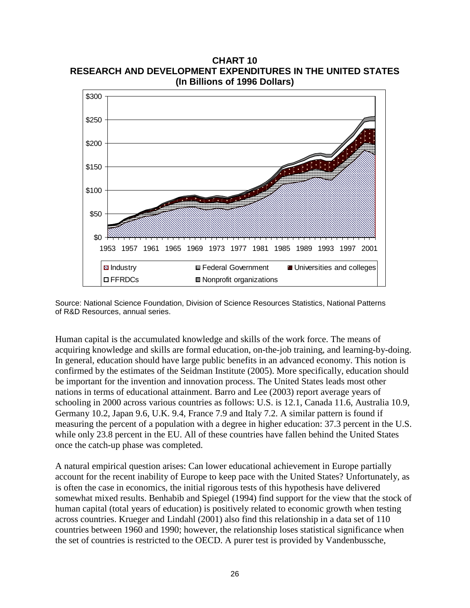**(In Billions of 1996 Dollars)** \$0 \$50 \$100 \$150 \$200 \$250 \$300 1953 1957 1961 1965 1969 1973 1977 1981 1985 1989 1993 1997 2001  $\Box$  Industry  $\Box$  Federal Government  $\Box$  Universities and colleges □ FFRDCs ■ Nonprofit organizations

**CHART 10 RESEARCH AND DEVELOPMENT EXPENDITURES IN THE UNITED STATES**

Source: National Science Foundation, Division of Science Resources Statistics, National Patterns of R&D Resources, annual series.

Human capital is the accumulated knowledge and skills of the work force. The means of acquiring knowledge and skills are formal education, on-the-job training, and learning-by-doing. In general, education should have large public benefits in an advanced economy. This notion is confirmed by the estimates of the Seidman Institute (2005). More specifically, education should be important for the invention and innovation process. The United States leads most other nations in terms of educational attainment. Barro and Lee (2003) report average years of schooling in 2000 across various countries as follows: U.S. is 12.1, Canada 11.6, Australia 10.9, Germany 10.2, Japan 9.6, U.K. 9.4, France 7.9 and Italy 7.2. A similar pattern is found if measuring the percent of a population with a degree in higher education: 37.3 percent in the U.S. while only 23.8 percent in the EU. All of these countries have fallen behind the United States once the catch-up phase was completed.

A natural empirical question arises: Can lower educational achievement in Europe partially account for the recent inability of Europe to keep pace with the United States? Unfortunately, as is often the case in economics, the initial rigorous tests of this hypothesis have delivered somewhat mixed results. Benhabib and Spiegel (1994) find support for the view that the stock of human capital (total years of education) is positively related to economic growth when testing across countries. Krueger and Lindahl (2001) also find this relationship in a data set of 110 countries between 1960 and 1990; however, the relationship loses statistical significance when the set of countries is restricted to the OECD. A purer test is provided by Vandenbussche,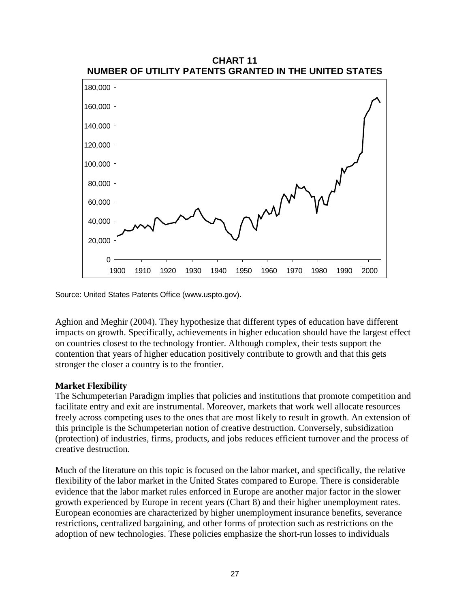

Source: United States Patents Office (www.uspto.gov).

Aghion and Meghir (2004). They hypothesize that different types of education have different impacts on growth. Specifically, achievements in higher education should have the largest effect on countries closest to the technology frontier. Although complex, their tests support the contention that years of higher education positively contribute to growth and that this gets stronger the closer a country is to the frontier.

## **Market Flexibility**

The Schumpeterian Paradigm implies that policies and institutions that promote competition and facilitate entry and exit are instrumental. Moreover, markets that work well allocate resources freely across competing uses to the ones that are most likely to result in growth. An extension of this principle is the Schumpeterian notion of creative destruction. Conversely, subsidization (protection) of industries, firms, products, and jobs reduces efficient turnover and the process of creative destruction.

Much of the literature on this topic is focused on the labor market, and specifically, the relative flexibility of the labor market in the United States compared to Europe. There is considerable evidence that the labor market rules enforced in Europe are another major factor in the slower growth experienced by Europe in recent years (Chart 8) and their higher unemployment rates. European economies are characterized by higher unemployment insurance benefits, severance restrictions, centralized bargaining, and other forms of protection such as restrictions on the adoption of new technologies. These policies emphasize the short-run losses to individuals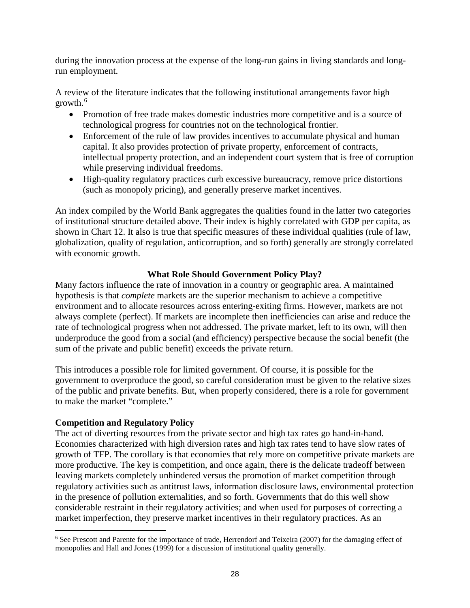during the innovation process at the expense of the long-run gains in living standards and longrun employment.

A review of the literature indicates that the following institutional arrangements favor high growth.[6](#page-29-0)

- Promotion of free trade makes domestic industries more competitive and is a source of technological progress for countries not on the technological frontier.
- Enforcement of the rule of law provides incentives to accumulate physical and human capital. It also provides protection of private property, enforcement of contracts, intellectual property protection, and an independent court system that is free of corruption while preserving individual freedoms.
- High-quality regulatory practices curb excessive bureaucracy, remove price distortions (such as monopoly pricing), and generally preserve market incentives.

An index compiled by the World Bank aggregates the qualities found in the latter two categories of institutional structure detailed above. Their index is highly correlated with GDP per capita, as shown in Chart 12. It also is true that specific measures of these individual qualities (rule of law, globalization, quality of regulation, anticorruption, and so forth) generally are strongly correlated with economic growth.

## **What Role Should Government Policy Play?**

Many factors influence the rate of innovation in a country or geographic area. A maintained hypothesis is that *complete* markets are the superior mechanism to achieve a competitive environment and to allocate resources across entering-exiting firms. However, markets are not always complete (perfect). If markets are incomplete then inefficiencies can arise and reduce the rate of technological progress when not addressed. The private market, left to its own, will then underproduce the good from a social (and efficiency) perspective because the social benefit (the sum of the private and public benefit) exceeds the private return.

This introduces a possible role for limited government. Of course, it is possible for the government to overproduce the good, so careful consideration must be given to the relative sizes of the public and private benefits. But, when properly considered, there is a role for government to make the market "complete."

## **Competition and Regulatory Policy**

The act of diverting resources from the private sector and high tax rates go hand-in-hand. Economies characterized with high diversion rates and high tax rates tend to have slow rates of growth of TFP. The corollary is that economies that rely more on competitive private markets are more productive. The key is competition, and once again, there is the delicate tradeoff between leaving markets completely unhindered versus the promotion of market competition through regulatory activities such as antitrust laws, information disclosure laws, environmental protection in the presence of pollution externalities, and so forth. Governments that do this well show considerable restraint in their regulatory activities; and when used for purposes of correcting a market imperfection, they preserve market incentives in their regulatory practices. As an

<span id="page-29-0"></span> $6$  See Prescott and Parente for the importance of trade, Herrendorf and Teixeira (2007) for the damaging effect of monopolies and Hall and Jones (1999) for a discussion of institutional quality generally.  $\overline{a}$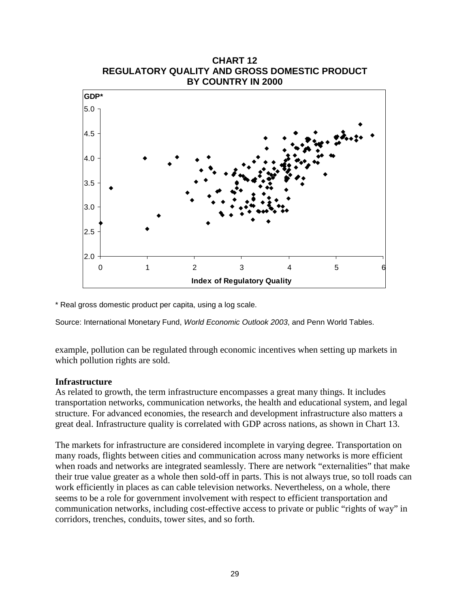

\* Real gross domestic product per capita, using a log scale.

Source: International Monetary Fund, *World Economic Outlook 2003*, and Penn World Tables.

example, pollution can be regulated through economic incentives when setting up markets in which pollution rights are sold.

#### **Infrastructure**

As related to growth, the term infrastructure encompasses a great many things. It includes transportation networks, communication networks, the health and educational system, and legal structure. For advanced economies, the research and development infrastructure also matters a great deal. Infrastructure quality is correlated with GDP across nations, as shown in Chart 13.

The markets for infrastructure are considered incomplete in varying degree. Transportation on many roads, flights between cities and communication across many networks is more efficient when roads and networks are integrated seamlessly. There are network "externalities" that make their true value greater as a whole then sold-off in parts. This is not always true, so toll roads can work efficiently in places as can cable television networks. Nevertheless, on a whole, there seems to be a role for government involvement with respect to efficient transportation and communication networks, including cost-effective access to private or public "rights of way" in corridors, trenches, conduits, tower sites, and so forth.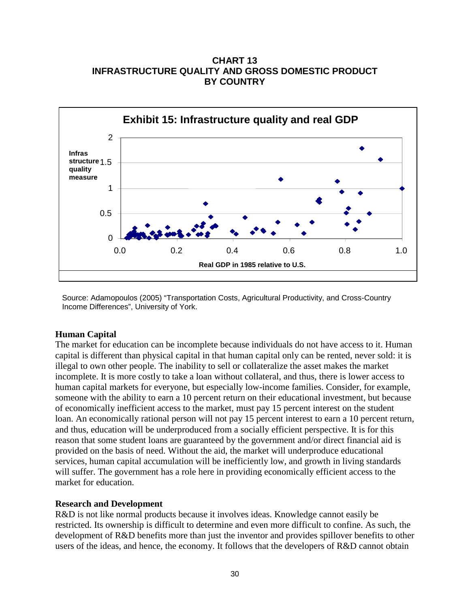**CHART 13 INFRASTRUCTURE QUALITY AND GROSS DOMESTIC PRODUCT BY COUNTRY**



Source: Adamopoulos (2005) ["Transportation Costs, Agricultural Productivity, and Cross-Country](http://dept.econ.yorku.ca/%7Etasso/transport_web.pdf)  [Income Differences"](http://dept.econ.yorku.ca/%7Etasso/transport_web.pdf), University of York.

## **Human Capital**

The market for education can be incomplete because individuals do not have access to it. Human capital is different than physical capital in that human capital only can be rented, never sold: it is illegal to own other people. The inability to sell or collateralize the asset makes the market incomplete. It is more costly to take a loan without collateral, and thus, there is lower access to human capital markets for everyone, but especially low-income families. Consider, for example, someone with the ability to earn a 10 percent return on their educational investment, but because of economically inefficient access to the market, must pay 15 percent interest on the student loan. An economically rational person will not pay 15 percent interest to earn a 10 percent return, and thus, education will be underproduced from a socially efficient perspective. It is for this reason that some student loans are guaranteed by the government and/or direct financial aid is provided on the basis of need. Without the aid, the market will underproduce educational services, human capital accumulation will be inefficiently low, and growth in living standards will suffer. The government has a role here in providing economically efficient access to the market for education.

## **Research and Development**

R&D is not like normal products because it involves ideas. Knowledge cannot easily be restricted. Its ownership is difficult to determine and even more difficult to confine. As such, the development of R&D benefits more than just the inventor and provides spillover benefits to other users of the ideas, and hence, the economy. It follows that the developers of R&D cannot obtain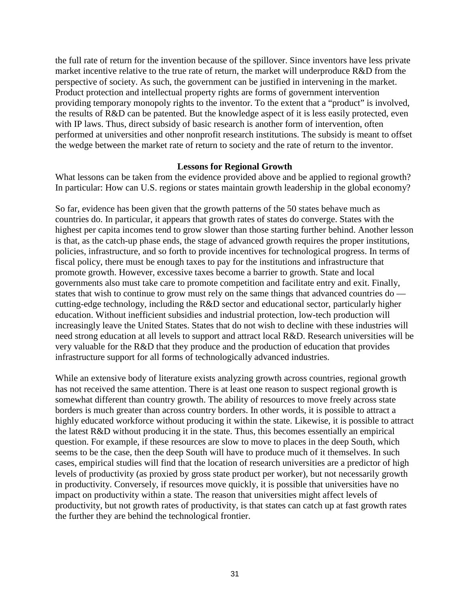the full rate of return for the invention because of the spillover. Since inventors have less private market incentive relative to the true rate of return, the market will underproduce R&D from the perspective of society. As such, the government can be justified in intervening in the market. Product protection and intellectual property rights are forms of government intervention providing temporary monopoly rights to the inventor. To the extent that a "product" is involved, the results of R&D can be patented. But the knowledge aspect of it is less easily protected, even with IP laws. Thus, direct subsidy of basic research is another form of intervention, often performed at universities and other nonprofit research institutions. The subsidy is meant to offset the wedge between the market rate of return to society and the rate of return to the inventor.

#### **Lessons for Regional Growth**

What lessons can be taken from the evidence provided above and be applied to regional growth? In particular: How can U.S. regions or states maintain growth leadership in the global economy?

So far, evidence has been given that the growth patterns of the 50 states behave much as countries do. In particular, it appears that growth rates of states do converge. States with the highest per capita incomes tend to grow slower than those starting further behind. Another lesson is that, as the catch-up phase ends, the stage of advanced growth requires the proper institutions, policies, infrastructure, and so forth to provide incentives for technological progress. In terms of fiscal policy, there must be enough taxes to pay for the institutions and infrastructure that promote growth. However, excessive taxes become a barrier to growth. State and local governments also must take care to promote competition and facilitate entry and exit. Finally, states that wish to continue to grow must rely on the same things that advanced countries do cutting-edge technology, including the R&D sector and educational sector, particularly higher education. Without inefficient subsidies and industrial protection, low-tech production will increasingly leave the United States. States that do not wish to decline with these industries will need strong education at all levels to support and attract local R&D. Research universities will be very valuable for the R&D that they produce and the production of education that provides infrastructure support for all forms of technologically advanced industries.

While an extensive body of literature exists analyzing growth across countries, regional growth has not received the same attention. There is at least one reason to suspect regional growth is somewhat different than country growth. The ability of resources to move freely across state borders is much greater than across country borders. In other words, it is possible to attract a highly educated workforce without producing it within the state. Likewise, it is possible to attract the latest R&D without producing it in the state. Thus, this becomes essentially an empirical question. For example, if these resources are slow to move to places in the deep South, which seems to be the case, then the deep South will have to produce much of it themselves. In such cases, empirical studies will find that the location of research universities are a predictor of high levels of productivity (as proxied by gross state product per worker), but not necessarily growth in productivity. Conversely, if resources move quickly, it is possible that universities have no impact on productivity within a state. The reason that universities might affect levels of productivity, but not growth rates of productivity, is that states can catch up at fast growth rates the further they are behind the technological frontier.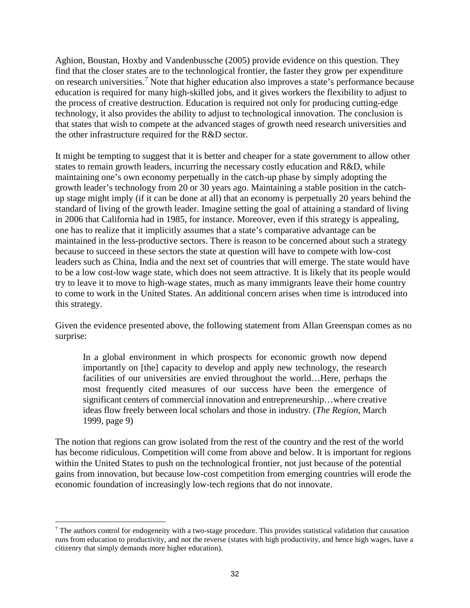Aghion, Boustan, Hoxby and Vandenbussche (2005) provide evidence on this question. They find that the closer states are to the technological frontier, the faster they grow per expenditure on research universities.[7](#page-33-0) Note that higher education also improves a state's performance because education is required for many high-skilled jobs, and it gives workers the flexibility to adjust to the process of creative destruction. Education is required not only for producing cutting-edge technology, it also provides the ability to adjust to technological innovation. The conclusion is that states that wish to compete at the advanced stages of growth need research universities and the other infrastructure required for the R&D sector.

It might be tempting to suggest that it is better and cheaper for a state government to allow other states to remain growth leaders, incurring the necessary costly education and R&D, while maintaining one's own economy perpetually in the catch-up phase by simply adopting the growth leader's technology from 20 or 30 years ago. Maintaining a stable position in the catchup stage might imply (if it can be done at all) that an economy is perpetually 20 years behind the standard of living of the growth leader. Imagine setting the goal of attaining a standard of living in 2006 that California had in 1985, for instance. Moreover, even if this strategy is appealing, one has to realize that it implicitly assumes that a state's comparative advantage can be maintained in the less-productive sectors. There is reason to be concerned about such a strategy because to succeed in these sectors the state at question will have to compete with low-cost leaders such as China, India and the next set of countries that will emerge. The state would have to be a low cost-low wage state, which does not seem attractive. It is likely that its people would try to leave it to move to high-wage states, much as many immigrants leave their home country to come to work in the United States. An additional concern arises when time is introduced into this strategy.

Given the evidence presented above, the following statement from Allan Greenspan comes as no surprise:

In a global environment in which prospects for economic growth now depend importantly on [the] capacity to develop and apply new technology, the research facilities of our universities are envied throughout the world…Here, perhaps the most frequently cited measures of our success have been the emergence of significant centers of commercial innovation and entrepreneurship…where creative ideas flow freely between local scholars and those in industry. (*The Region*, March 1999, page 9)

The notion that regions can grow isolated from the rest of the country and the rest of the world has become ridiculous. Competition will come from above and below. It is important for regions within the United States to push on the technological frontier, not just because of the potential gains from innovation, but because low-cost competition from emerging countries will erode the economic foundation of increasingly low-tech regions that do not innovate.

<span id="page-33-0"></span><sup>7</sup> The authors control for endogeneity with a two-stage procedure. This provides statistical validation that causation runs from education to productivity, and not the reverse (states with high productivity, and hence high wages, have a citizenry that simply demands more higher education).  $\overline{a}$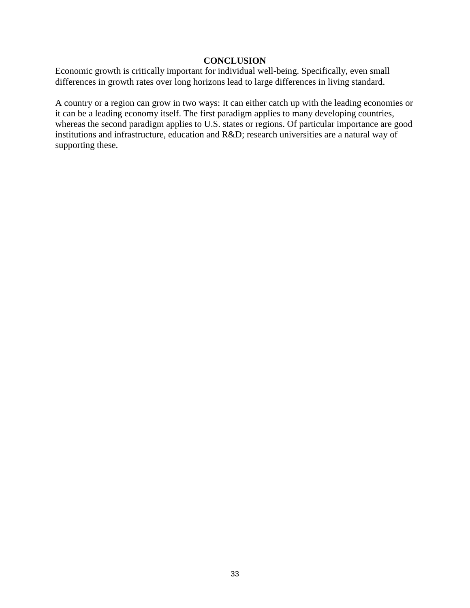### **CONCLUSION**

Economic growth is critically important for individual well-being. Specifically, even small differences in growth rates over long horizons lead to large differences in living standard.

A country or a region can grow in two ways: It can either catch up with the leading economies or it can be a leading economy itself. The first paradigm applies to many developing countries, whereas the second paradigm applies to U.S. states or regions. Of particular importance are good institutions and infrastructure, education and R&D; research universities are a natural way of supporting these.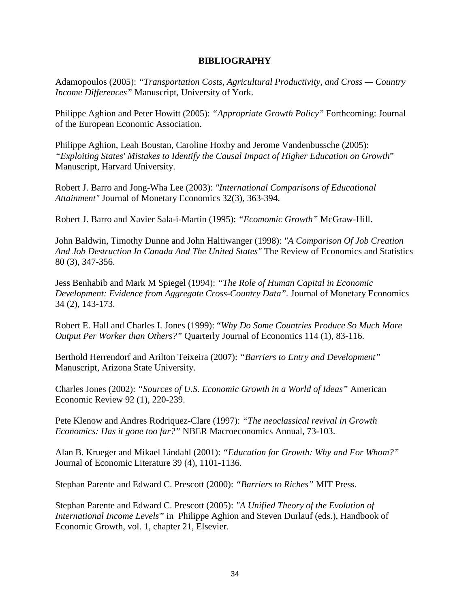## **BIBLIOGRAPHY**

Adamopoulos (2005): *["Transportation Costs, Agricultural Productivity, and Cross —](http://dept.econ.yorku.ca/%7Etasso/transport_web.pdf) Country [Income Differences"](http://dept.econ.yorku.ca/%7Etasso/transport_web.pdf)* Manuscript, University of York.

Philippe Aghion and Peter Howitt (2005): *"Appropriate Growth Policy"* Forthcoming: Journal of the European Economic Association.

Philippe Aghion, Leah Boustan, Caroline Hoxby and Jerome Vandenbussche (2005): *"Exploiting States' Mistakes to Identify the Causal Impact of Higher Education on Growth*" Manuscript, Harvard University.

Robert J. Barro and Jong-Wha Lee (2003): *["International Comparisons of Educational](http://ideas.repec.org/a/eee/moneco/v32y1993i3p363-394.html)  [Attainment"](http://ideas.repec.org/a/eee/moneco/v32y1993i3p363-394.html)* [Journal of Monetary Economics](http://ideas.repec.org/s/eee/moneco.html) 32(3), 363-394.

Robert J. Barro and Xavier Sala-i-Martin (1995): *"Ecomomic Growth"* McGraw-Hill.

John Baldwin, Timothy Dunne and John Haltiwanger (1998): *["A Comparison Of Job Creation](http://ideas.repec.org/a/tpr/restat/v80y1998i3p347-356.html)  [And Job Destruction In Canada And The United States"](http://ideas.repec.org/a/tpr/restat/v80y1998i3p347-356.html)* [The Review of Economics and Statistics](http://ideas.repec.org/s/tpr/restat.html) 80 (3), 347-356.

Jess Benhabib and Mark M Spiegel (1994): *["The Role of Human Capital in Economic](http://ideas.repec.org/a/eee/moneco/v34y1994i2p143-173.html)  [Development: Evidence from Aggregate Cross-Country Data"](http://ideas.repec.org/a/eee/moneco/v34y1994i2p143-173.html).* Journal of Monetary Economics 34 (2), 143-173.

Robert E. Hall and Charles I. Jones (1999): "*[Why Do Some Countries Produce So Much More](http://links.jstor.org/sici?sici=0033-5533(199902)114%3A1%3C83%3AWDSCPS%3E2.0.CO%3B2-S)  [Output Per Worker than Others?"](http://links.jstor.org/sici?sici=0033-5533(199902)114%3A1%3C83%3AWDSCPS%3E2.0.CO%3B2-S)* Quarterly Journal of Economics 114 (1), 83-116.

Berthold Herrendorf and Arilton Teixeira (2007): *"Barriers to Entry and Development"* Manuscript, Arizona State University.

Charles Jones (2002): *["Sources of U.S. Economic Growth in a World of Ideas"](http://elsa.berkeley.edu/%7Echad/papers.html%23sources)* American Economic Review 92 (1), 220-239.

Pete Klenow and Andres Rodriquez-Clare (1997): *"The neoclassical revival in Growth Economics: Has it gone too far?"* NBER Macroeconomics Annual, 73-103.

Alan B. Krueger and Mikael Lindahl (2001): *"Education for Growth: Why and For Whom?"* Journal of Economic Literature 39 (4), 1101-1136.

Stephan Parente and Edward C. Prescott (2000): *"Barriers to Riches"* MIT Press.

Stephan Parente and Edward C. Prescott (2005): *["A Unified Theory of the Evolution of](http://ideas.repec.org/h/eee/grochp/1-21.html)  [International Income Levels"](http://ideas.repec.org/h/eee/grochp/1-21.html)* in Philippe Aghion and Steven Durlauf (eds.), Handbook of Economic Growth, vol. 1, chapter 21, Elsevier.